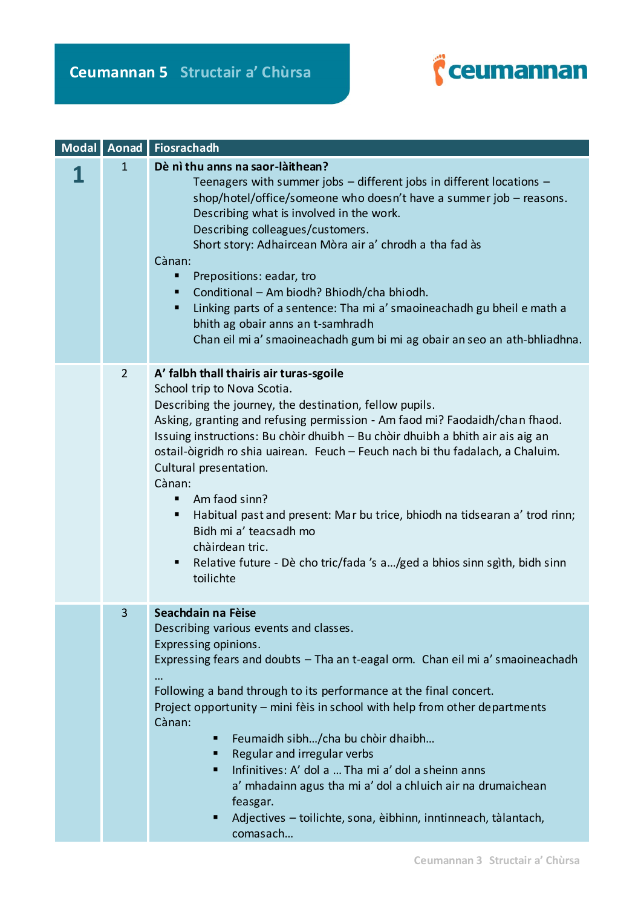

|                | Modal   Aonad   Fiosrachadh                                                                                                                                                                                                                                                                                                                                                                                                                                                                                                                                                                                                                                              |
|----------------|--------------------------------------------------------------------------------------------------------------------------------------------------------------------------------------------------------------------------------------------------------------------------------------------------------------------------------------------------------------------------------------------------------------------------------------------------------------------------------------------------------------------------------------------------------------------------------------------------------------------------------------------------------------------------|
| $\mathbf{1}$   | Dè nì thu anns na saor-làithean?<br>Teenagers with summer jobs $-$ different jobs in different locations $-$<br>shop/hotel/office/someone who doesn't have a summer job – reasons.<br>Describing what is involved in the work.<br>Describing colleagues/customers.<br>Short story: Adhaircean Mòra air a' chrodh a tha fad às<br>Cànan:<br>Prepositions: eadar, tro<br>п<br>Conditional - Am biodh? Bhiodh/cha bhiodh.<br>Linking parts of a sentence: Tha mi a' smaoineachadh gu bheil e math a<br>п<br>bhith ag obair anns an t-samhradh<br>Chan eil mi a' smaoineachadh gum bi mi ag obair an seo an ath-bhliadhna.                                                   |
| $\overline{2}$ | A' falbh thall thairis air turas-sgoile<br>School trip to Nova Scotia.<br>Describing the journey, the destination, fellow pupils.<br>Asking, granting and refusing permission - Am faod mi? Faodaidh/chan fhaod.<br>Issuing instructions: Bu chòir dhuibh - Bu chòir dhuibh a bhith air ais aig an<br>ostail-òigridh ro shia uairean. Feuch - Feuch nach bi thu fadalach, a Chaluim.<br>Cultural presentation.<br>Cànan:<br>Am faod sinn?<br>Habitual past and present: Mar bu trice, bhiodh na tidsearan a' trod rinn;<br>п<br>Bidh mi a' teacsadh mo<br>chàirdean tric.<br>Relative future - Dè cho tric/fada 's a/ged a bhios sinn sgìth, bidh sinn<br>٠<br>toilichte |
| 3              | Seachdain na Fèise<br>Describing various events and classes.<br>Expressing opinions.<br>Expressing fears and doubts - Tha an t-eagal orm. Chan eil mi a' smaoineachadh<br><br>Following a band through to its performance at the final concert.<br>Project opportunity - mini fèis in school with help from other departments<br>Cànan:<br>Feumaidh sibh/cha bu chòir dhaibh<br>٠<br>Regular and irregular verbs<br>Infinitives: A' dol a  Tha mi a' dol a sheinn anns<br>٠<br>a' mhadainn agus tha mi a' dol a chluich air na drumaichean<br>feasgar.<br>Adjectives - toilichte, sona, èibhinn, inntinneach, tàlantach,<br>٠<br>comasach                                |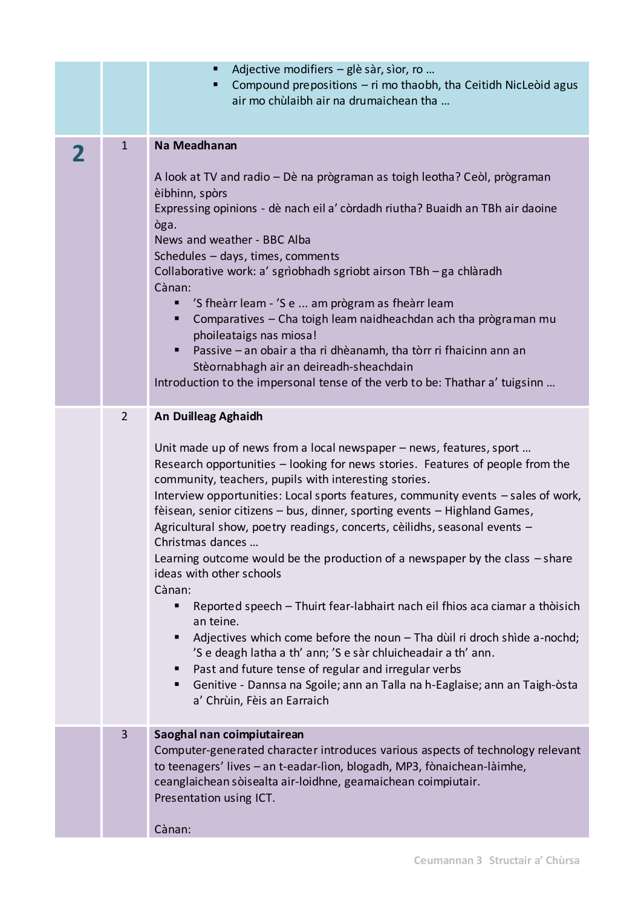|                | Adjective modifiers - glè sàr, sìor, ro<br>п<br>Compound prepositions - ri mo thaobh, tha Ceitidh NicLeoid agus<br>п<br>air mo chùlaibh air na drumaichean tha                                                                                                                                                                                                                                                                                                                                                                                                                                                                                                                                                                                                                                                                                                                                                                                                                                                                                           |
|----------------|----------------------------------------------------------------------------------------------------------------------------------------------------------------------------------------------------------------------------------------------------------------------------------------------------------------------------------------------------------------------------------------------------------------------------------------------------------------------------------------------------------------------------------------------------------------------------------------------------------------------------------------------------------------------------------------------------------------------------------------------------------------------------------------------------------------------------------------------------------------------------------------------------------------------------------------------------------------------------------------------------------------------------------------------------------|
| $\mathbf{1}$   | Na Meadhanan<br>A look at TV and radio - Dè na prògraman as toigh leotha? Ceòl, prògraman<br>èibhinn, spòrs<br>Expressing opinions - dè nach eil a' còrdadh riutha? Buaidh an TBh air daoine<br>òga.<br>News and weather - BBC Alba<br>Schedules - days, times, comments<br>Collaborative work: a' sgrìobhadh sgriobt airson TBh - ga chlàradh<br>Cànan:<br>'S fheàrr leam - 'S e  am prògram as fheàrr leam<br>Comparatives - Cha toigh leam naidheachdan ach tha prògraman mu<br>phoileataigs nas miosa!<br>Passive - an obair a tha ri dhèanamh, tha tòrr ri fhaicinn ann an<br>Stèornabhagh air an deireadh-sheachdain<br>Introduction to the impersonal tense of the verb to be: Thathar a' tuigsinn                                                                                                                                                                                                                                                                                                                                                |
| $\overline{2}$ | An Duilleag Aghaidh<br>Unit made up of news from a local newspaper - news, features, sport<br>Research opportunities - looking for news stories. Features of people from the<br>community, teachers, pupils with interesting stories.<br>Interview opportunities: Local sports features, community events - sales of work,<br>fèisean, senior citizens - bus, dinner, sporting events - Highland Games,<br>Agricultural show, poetry readings, concerts, cèilidhs, seasonal events -<br>Christmas dances<br>Learning outcome would be the production of a newspaper by the class $-$ share<br>ideas with other schools<br>Cànan:<br>Reported speech - Thuirt fear-labhairt nach eil fhios aca ciamar a thòisich<br>٠<br>an teine.<br>Adjectives which come before the noun - Tha dùil ri droch shide a-nochd;<br>'S e deagh latha a th' ann; 'S e sàr chluicheadair a th' ann.<br>Past and future tense of regular and irregular verbs<br>Genitive - Dannsa na Sgoile; ann an Talla na h-Eaglaise; ann an Taigh-òsta<br>ш<br>a' Chrùin, Fèis an Earraich |
| 3              | Saoghal nan coimpiutairean<br>Computer-generated character introduces various aspects of technology relevant<br>to teenagers' lives - an t-eadar-lìon, blogadh, MP3, fònaichean-làimhe,<br>ceanglaichean sòisealta air-loidhne, geamaichean coimpiutair.<br>Presentation using ICT.<br>Cànan:                                                                                                                                                                                                                                                                                                                                                                                                                                                                                                                                                                                                                                                                                                                                                            |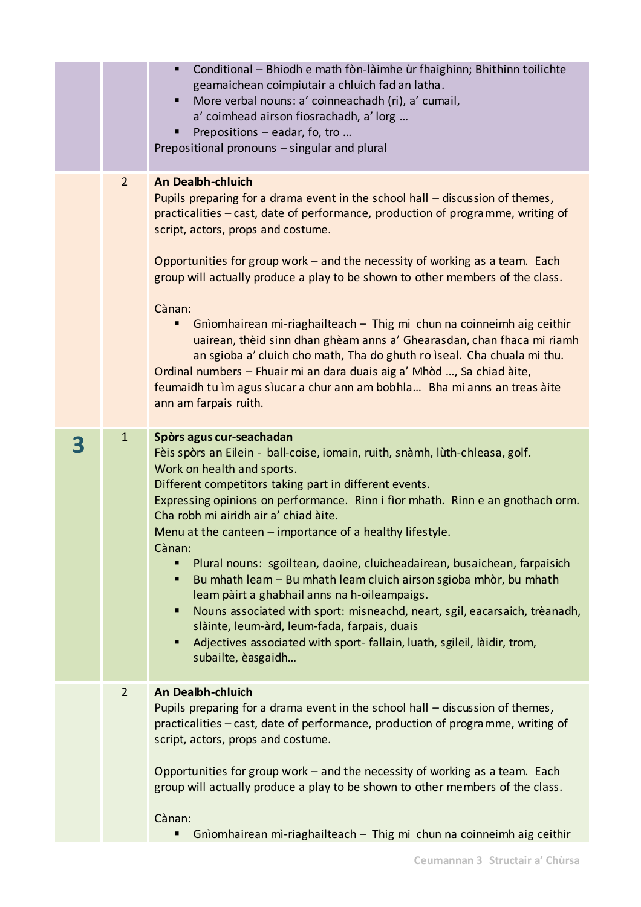|                | Conditional - Bhiodh e math fòn-làimhe ùr fhaighinn; Bhithinn toilichte<br>п<br>geamaichean coimpiutair a chluich fad an latha.<br>More verbal nouns: a' coinneachadh (ri), a' cumail,<br>a' coimhead airson fiosrachadh, a' lorg<br>Prepositions - eadar, fo, tro<br>Prepositional pronouns - singular and plural                                                                                                                                                                                                                                                                                                                                                                                                                                                                                                                                    |
|----------------|-------------------------------------------------------------------------------------------------------------------------------------------------------------------------------------------------------------------------------------------------------------------------------------------------------------------------------------------------------------------------------------------------------------------------------------------------------------------------------------------------------------------------------------------------------------------------------------------------------------------------------------------------------------------------------------------------------------------------------------------------------------------------------------------------------------------------------------------------------|
| $\overline{2}$ | <b>An Dealbh-chluich</b><br>Pupils preparing for a drama event in the school hall – discussion of themes,<br>practicalities - cast, date of performance, production of programme, writing of<br>script, actors, props and costume.<br>Opportunities for group work – and the necessity of working as a team. Each<br>group will actually produce a play to be shown to other members of the class.<br>Cànan:<br>Gnìomhairean mì-riaghailteach - Thig mi chun na coinneimh aig ceithir<br>uairean, thèid sinn dhan ghèam anns a' Ghearasdan, chan fhaca mi riamh<br>an sgioba a' cluich cho math, Tha do ghuth ro iseal. Cha chuala mi thu.<br>Ordinal numbers - Fhuair mi an dara duais aig a' Mhòd , Sa chiad àite,<br>feumaidh tu im agus siucar a chur ann am bobhla Bha mi anns an treas àite<br>ann am farpais ruith.                            |
| $\mathbf{1}$   | Spòrs agus cur-seachadan<br>Fèis spòrs an Eilein - ball-coise, iomain, ruith, snàmh, lùth-chleasa, golf.<br>Work on health and sports.<br>Different competitors taking part in different events.<br>Expressing opinions on performance. Rinn i flor mhath. Rinn e an gnothach orm.<br>Cha robh mi airidh air a' chiad àite.<br>Menu at the canteen – importance of a healthy lifestyle.<br>Cànan:<br>Plural nouns: sgoiltean, daoine, cluicheadairean, busaichean, farpaisich<br>п<br>Bu mhath leam - Bu mhath leam cluich airson sgioba mhòr, bu mhath<br>п<br>leam pàirt a ghabhail anns na h-oileampaigs.<br>Nouns associated with sport: misneachd, neart, sgil, eacarsaich, trèanadh,<br>п<br>slàinte, leum-àrd, leum-fada, farpais, duais<br>Adjectives associated with sport-fallain, luath, sgileil, làidir, trom,<br>п<br>subailte, èasgaidh |
| $\overline{2}$ | An Dealbh-chluich<br>Pupils preparing for a drama event in the school hall – discussion of themes,<br>practicalities - cast, date of performance, production of programme, writing of<br>script, actors, props and costume.<br>Opportunities for group work $-$ and the necessity of working as a team. Each<br>group will actually produce a play to be shown to other members of the class.<br>Cànan:<br>Gnìomhairean mì-riaghailteach - Thig mi chun na coinneimh aig ceithir                                                                                                                                                                                                                                                                                                                                                                      |